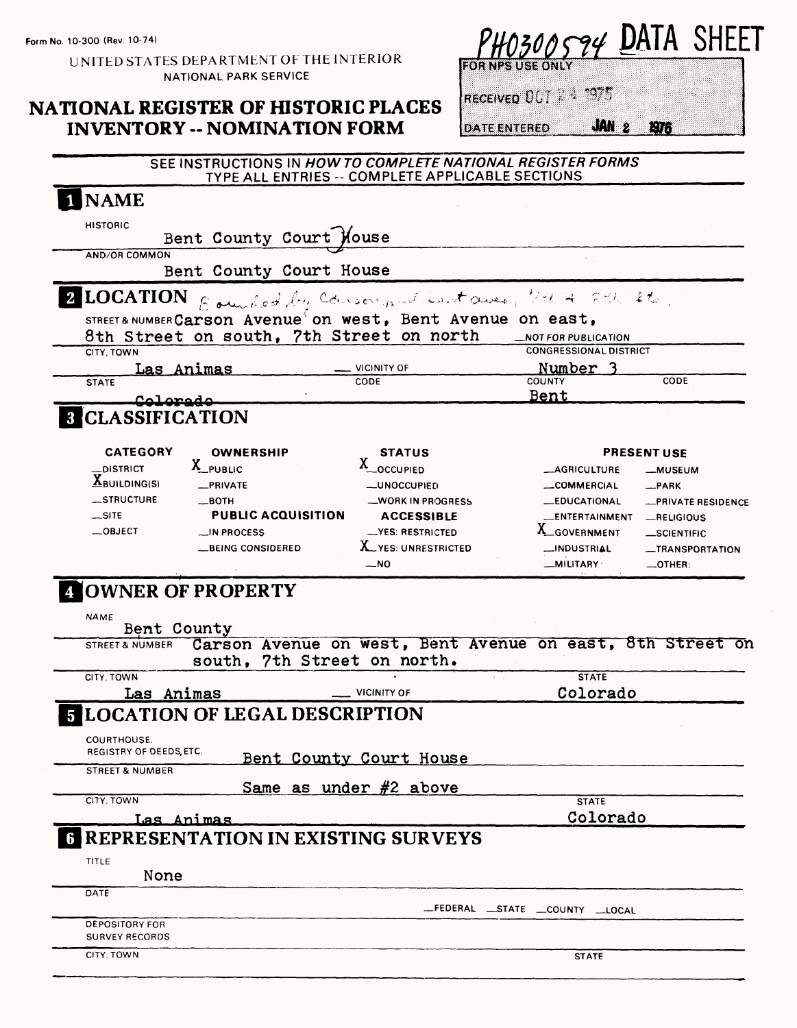**Form No. 10-300 (Rev. 10-74)**

UNITED STATES DEPARTMENT OF THE INTERIOR NATIONAL PARK SERVICE

## **NATIONAL REGISTER OF HISTORIC PLACES INVENTORY -- NOMINATION FORM**

| YHO300594 DATA SHEE. |  |
|----------------------|--|
|                      |  |

RECEIVED OUT 2 3 1975

**DATE ENTERED** 

## **JAN 2 1976**

#### SEE INSTRUCTIONS IN **HOW TO COMPLETE NATIONAL REGISTER FORMS**  TYPE ALL ENTRIES -- COMPLETE APPLICABLE SECTIONS

| <b>NAME</b>                                     |                                                            |                                                                           |
|-------------------------------------------------|------------------------------------------------------------|---------------------------------------------------------------------------|
| <b>HISTORIC</b><br>Bent County Court Mouse      |                                                            |                                                                           |
| AND/OR COMMON                                   |                                                            |                                                                           |
| Bent County Court House                         |                                                            |                                                                           |
| <b>2 LOCATION</b>                               | Rounded by Consor and Lant aves, VMH 8th 2to.              |                                                                           |
|                                                 | STREET& NUMBER Carson Avenue on west, Bent Avenue on east, |                                                                           |
| 8th Street on south, 7th Street on north        |                                                            | _NOT FOR PUBLICATION<br><b>CONGRESSIONAL DISTRICT</b>                     |
| CITY, TOWN<br>Las Animas                        | <b>VICINITY OF</b>                                         | Number                                                                    |
| <b>STATE</b>                                    | CODE                                                       | CODE<br><b>COUNTY</b><br><u>Bent</u>                                      |
| Coloredo<br><b>8 CLASSIFICATION</b>             |                                                            |                                                                           |
|                                                 |                                                            |                                                                           |
| <b>CATEGORY</b><br><b>OWNERSHIP</b><br>X_PUBLIC | <b>STATUS</b><br>X_OCCUPIED                                | <b>PRESENT USE</b>                                                        |
| DISTRICT<br>$X$ BUILDING(S)<br>_PRIVATE         | <b>__UNOCCUPIED</b>                                        | <b>_AGRICULTURE</b><br><b>__MUSEUM</b><br><b>__COMMERCIAL</b><br>$-$ PARK |
| _STRUCTURE<br>$\equiv$ BOTH                     | __WORK IN PROGRESS                                         | <b>__EDUCATIONAL</b><br>-PRIVATE RESIDENCE                                |
| $\equiv$ SITE<br><b>PUBLIC ACQUISITION</b>      | <b>ACCESSIBLE</b>                                          | <b>_ENTERTAINMENT</b><br>RELIGIOUS                                        |
| $-$ OBJECT<br>$\cup$ IN PROCESS                 | -YES: RESTRICTED                                           | X_GOVERNMENT<br>__SCIENTIFIC                                              |
| <b>LBEING CONSIDERED</b>                        | X YES: UNRESTRICTED                                        | _INDUSTRIAL<br><b>_TRANSPORTATION</b>                                     |
|                                                 |                                                            |                                                                           |
| OWNER OF PROPERTY                               | $-$ NO                                                     | <b>MILITARY</b><br>$-$ OTHER:                                             |
| <b>NAME</b><br>Bent County<br>STREET & NUMBER   | south, 7th Street on north.                                | Carson Avenue on west, Bent Avenue on east, 8th Street on                 |
| CITY, TOWN                                      |                                                            | <b>STATE</b>                                                              |
| Las Animas                                      | <b>VICINITY OF</b>                                         | Colorado                                                                  |
| <b>5 LOCATION OF LEGAL DESCRIPTION</b>          |                                                            |                                                                           |
| COURTHOUSE.                                     |                                                            |                                                                           |
| REGISTRY OF DEEDS, ETC.                         |                                                            |                                                                           |
| <b>STREET &amp; NUMBER</b>                      | Bent County Court House                                    |                                                                           |
| CITY, TOWN                                      | Same as under #2 above                                     | <b>STATE</b>                                                              |
|                                                 |                                                            |                                                                           |
| <u>Las Animas</u>                               |                                                            | Colorado                                                                  |
| <b>6 REPRESENTATION IN EXISTING SURVEYS</b>     |                                                            |                                                                           |
| TITLE<br>None                                   |                                                            |                                                                           |
| DATE                                            |                                                            |                                                                           |
| <b>DEPOSITORY FOR</b>                           |                                                            | -FEDERAL STATE COUNTY LOCAL                                               |
| <b>SURVEY RECORDS</b><br>CITY, TOWN             |                                                            | <b>STATE</b>                                                              |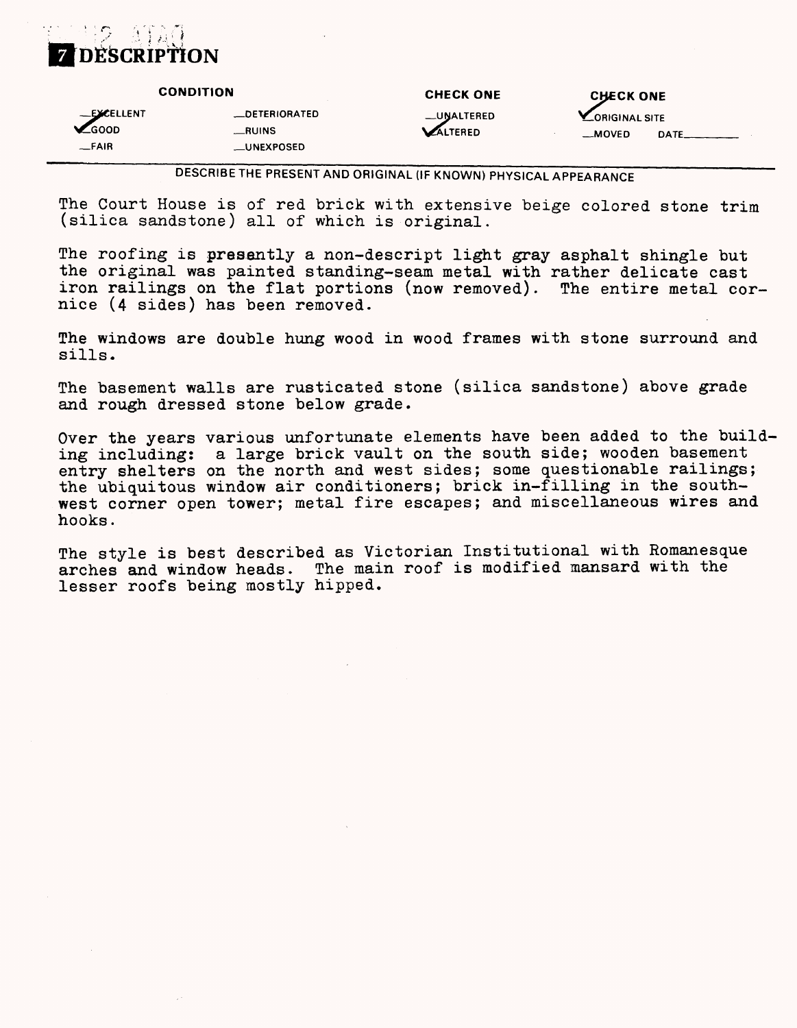

|                                       | <b>CONDITION</b>                               | <b>CHECK ONE</b>             | <b>CHECK ONE</b>                         |
|---------------------------------------|------------------------------------------------|------------------------------|------------------------------------------|
| -EXCELLENT<br><b>ZGOOD</b><br>$-FAIR$ | <b>LOETERIORATED</b><br>__RUINS<br>__UNEXPOSED | _UNALTERED<br><b>ALTERED</b> | <b>LORIGINAL SITE</b><br>__MOVED<br>DATE |

DESCRIBE THE PRESENT AND ORIGINAL (IF KNOWN) PHYSICAL APPEARANCE

The Court House is of red brick with extensive beige colored stone trim (silica sandstone) all of which is original.

The roofing is presently a non-descript light gray asphalt shingle but the original was painted standing-seam metal with rather delicate cast iron railings on the flat portions (now removed). The entire metal cornice (4 sides) has been removed.

The windows are double hung wood in wood frames with stone surround and sills.

The basement walls are rusticated stone (silica sandstone) above grade and rough dressed stone below grade.

Over the years various unfortunate elements have been added to the building including: a large brick vault on the south side; wooden basement entry shelters on the north and west sides; some questionable railings; the ubiquitous window air conditioners; brick in-filling in the southwest corner open tower; metal fire escapes; and miscellaneous wires and hooks.

The style is best described as Victorian Institutional with Romanesque arches and window heads. The main roof is modified mansard with the lesser roofs being mostly hipped.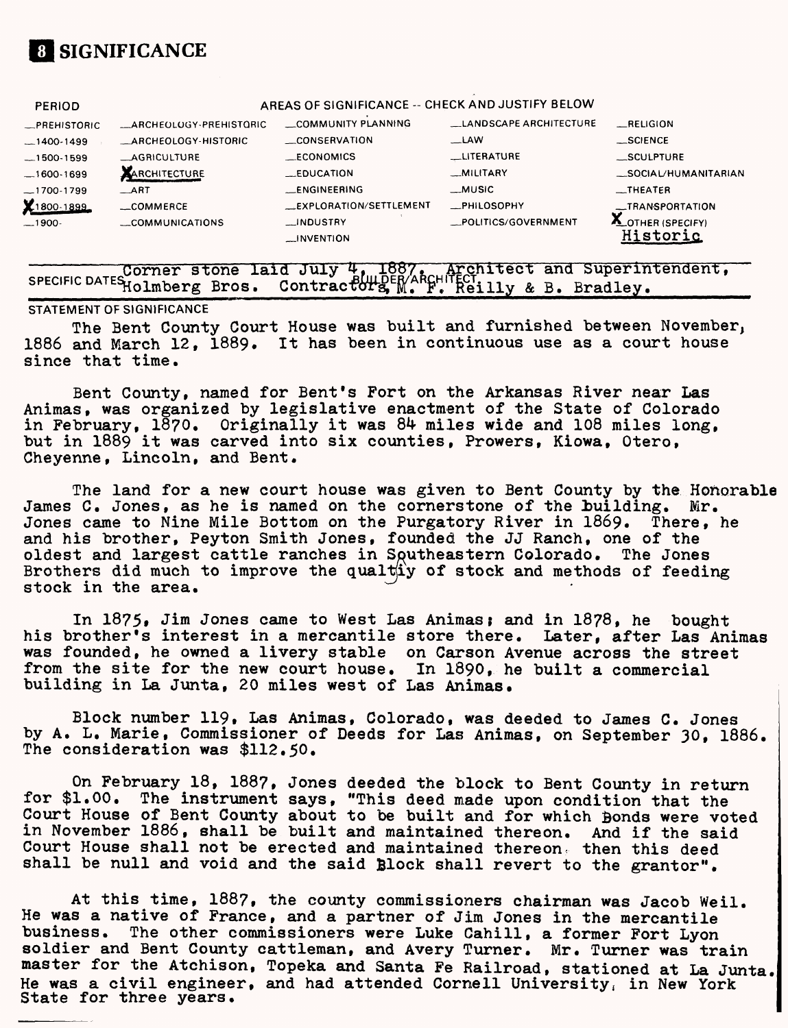

| <b>PERIOD</b>       |                         | AREAS OF SIGNIFICANCE -- CHECK AND JUSTIFY BELOW |                        |                                  |
|---------------------|-------------------------|--------------------------------------------------|------------------------|----------------------------------|
| <b>_PREHISTORIC</b> | _ARCHEOLOGY-PREHISTORIC | COMMUNITY PLANNING                               | LANDSCAPE ARCHITECTURE | RELIGION                         |
| $-1400-1499$        | ARCHEOLOGY-HISTORIC     | CONSERVATION                                     | _LAW                   | $-$ SCIENCE                      |
| $-1500-1599$        | <b>AGRICULTURE</b>      | <b>ECONOMICS</b>                                 | <b>LITERATURE</b>      | SCULPTURE                        |
| $-1600-1699$        | ARCHITECTURE            | <b>EDUCATION</b>                                 | _MILITARY              | _SOCIAL/HUMANITARIAN             |
| $-1700-1799$        | $\equiv$ ART            | <b>LENGINEERING</b>                              | __MUSIC                | $\overline{\phantom{0}}$ THEATER |
| X1800-1899          | $\_$ COMMERCE           | EXPLORATION/SETTLEMENT                           | <b>__PHILOSOPHY</b>    | __TRANSPORTATION                 |
| $-1900-$            | COMMUNICATIONS          | <b>INDUSTRY</b>                                  | _POLITICS/GOVERNMENT   | <b>ALOTHER (SPECIFY)</b>         |
|                     |                         | $\longrightarrow$ INVENTION                      |                        | istoric                          |

——————— Corner stone laid Corner stone laid July 4, 1887. Architect and Superintendent,<br>SPECIFIC DATESHolmberg Bros. Contractors, M. F. Reilly & B. Bradley.

#### **STATEMENT OF SIGNIFICANCE**

The Bent County Court House was built and furnished between November, 1886 and March 12, 1889. It has been in continuous use as a court house since that time.

Bent County, named for Bent's Fort on the Arkansas River near Las Animas, was organized by legislative enactment of the State of Colorado in February,  $1870$ . Originally it was 84 miles wide and 108 miles long, but in 1889 it was carved into six counties, Prowers, Kiowa, Otero, Cheyenne, Lincoln, and Bent.

The land for a new court house was given to Bent County by the Honorable James C. Jones, as he is named on the cornerstone of the building. Mr. Jones came to Nine Mile Bottom on the Purgatory River in 1869. There, he and his brother, Peyton Smith Jones, founded the JJ Ranch, one of the oldest and largest cattle ranches in Southeastern Colorado. The Jones Brothers did much to improve the qualt $\sharp y$  of stock and methods of feeding stock in the area.

In 1875, Jim Jones came to West Las Animas; and in 1878, he bought his brother's interest in a mercantile store there. Later, after Las Animas was founded, he owned a livery stable on Carson Avenue across the street from the site for the new court house. In 1890, he built a commercial building in La Junta, 20 miles west of Las Animas.

Block number 119, Las Animas, Colorado, was deeded to James C. Jones by A. L. Marie, Commissioner of Deeds for Las Animas, on September 30, 1886. The consideration was \$112.50.

On February 18, 188?, Jones deeded the block to Bent County in return for \$1.00. The instrument says, "This deed made upon condition that the Court House of Bent County about to be built and for which Bonds were voted in November 1886, shall be built and maintained thereon. And if the said Court House shall not be erected and maintained thereon, then this deed shall be null and void and the said Block shall revert to the grantor".

At this time, 188?, the county commissioners chairman was Jacob Weil. He was a native of France, and a partner of Jim Jones in the mercantile business. The other commissioners were Luke Cahill, a former Fort Lyon soldier and Bent County cattleman, and Avery Turner. Mr. Turner was train master for the Atchison, Topeka and Santa Fe Railroad, stationed at La Junta He was a civil engineer, and had attended Cornell University, in New York State for three years.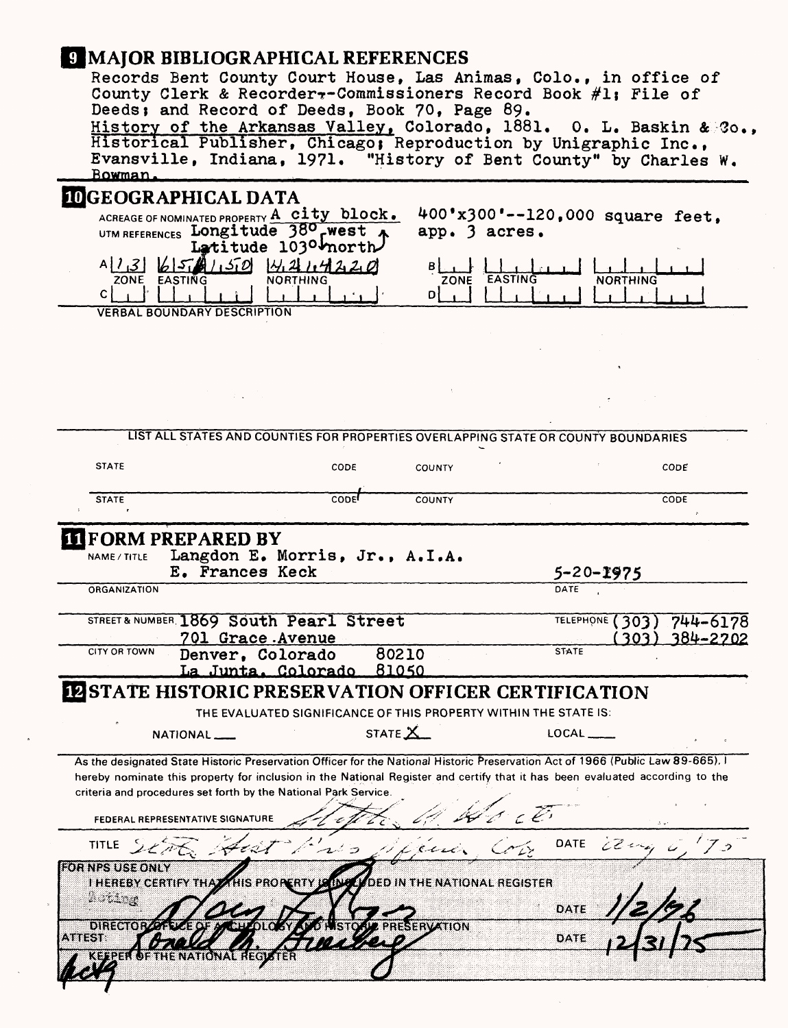| <b>9 MAJOR BIBLIOGRAPHICAL REFERENCES</b><br>Bowman.                                                                                                                                                                                                                                                                                                                   | Records Bent County Court House, Las Animas, Colo., in office of<br>County Clerk & Recorder -- Commissioners Record Book #1; File of<br>Deeds; and Record of Deeds, Book 70, Page 89.<br>History of the Arkansas Valley, Colorado, 1881. O. L. Baskin & Co.,<br>Historical Publisher, Chicago; Reproduction by Unigraphic Inc.,<br>Evansville, Indiana, 1971. "History of Bent County" by Charles W. |                                                  |                                                    |          |
|------------------------------------------------------------------------------------------------------------------------------------------------------------------------------------------------------------------------------------------------------------------------------------------------------------------------------------------------------------------------|------------------------------------------------------------------------------------------------------------------------------------------------------------------------------------------------------------------------------------------------------------------------------------------------------------------------------------------------------------------------------------------------------|--------------------------------------------------|----------------------------------------------------|----------|
| <b>IDGEOGRAPHICAL DATA</b><br>$A[1,3] 6561150$ 4214220<br>ZONE EASTING<br>c  <br><b>VERBAL BOUNDARY DESCRIPTION</b>                                                                                                                                                                                                                                                    | ACREAGE OF NOMINATED PROPERTY A city block.<br>UTM REFERENCES Longitude 380 rwest A<br>Latitude 1030 morth<br><b>NORTHING</b>                                                                                                                                                                                                                                                                        | app. 3 acres.<br>ZONE EASTING<br>ᅠ미              | 400'x300'--120,000 square feet,<br><b>NORTHING</b> |          |
|                                                                                                                                                                                                                                                                                                                                                                        |                                                                                                                                                                                                                                                                                                                                                                                                      |                                                  |                                                    |          |
|                                                                                                                                                                                                                                                                                                                                                                        | LIST ALL STATES AND COUNTIES FOR PROPERTIES OVERLAPPING STATE OR COUNTY BOUNDARIES                                                                                                                                                                                                                                                                                                                   |                                                  |                                                    |          |
| <b>STATE</b>                                                                                                                                                                                                                                                                                                                                                           | CODE                                                                                                                                                                                                                                                                                                                                                                                                 | <b>COUNTY</b>                                    |                                                    | CODE     |
| <b>STATE</b>                                                                                                                                                                                                                                                                                                                                                           | <b>CODE</b>                                                                                                                                                                                                                                                                                                                                                                                          | <b>COUNTY</b>                                    |                                                    | CODE     |
| <b>THE FORM PREPARED BY</b><br>NAME / TITLE<br>ORGANIZATION                                                                                                                                                                                                                                                                                                            | Langdon E. Morris, Jr., A.I.A.<br>E. Frances Keck                                                                                                                                                                                                                                                                                                                                                    |                                                  | $5 - 20 - 1975$<br>DATE                            |          |
|                                                                                                                                                                                                                                                                                                                                                                        | STREET & NUMBER 1869 South Pearl Street                                                                                                                                                                                                                                                                                                                                                              |                                                  | TELEPHONE (303)                                    | 744-6178 |
| CITY OR TOWN                                                                                                                                                                                                                                                                                                                                                           | 701 Grace Avenue<br>80210<br>Denver, Colorado<br>La Junta, Colorado, 81050                                                                                                                                                                                                                                                                                                                           |                                                  | 303)<br><b>STATE</b>                               | 384-2702 |
| <b>IZ STATE HISTORIC PRESERVATION OFFICER CERTIFICATION</b>                                                                                                                                                                                                                                                                                                            |                                                                                                                                                                                                                                                                                                                                                                                                      |                                                  |                                                    |          |
|                                                                                                                                                                                                                                                                                                                                                                        | THE EVALUATED SIGNIFICANCE OF THIS PROPERTY WITHIN THE STATE IS:                                                                                                                                                                                                                                                                                                                                     |                                                  |                                                    |          |
| NATIONAL __                                                                                                                                                                                                                                                                                                                                                            | STATE $X$                                                                                                                                                                                                                                                                                                                                                                                            |                                                  | $LOCAL$ <sub>---</sub>                             |          |
| As the designated State Historic Preservation Officer for the National Historic Preservation Act of 1966 (Public Law 89-665). I<br>hereby nominate this property for inclusion in the National Register and certify that it has been evaluated according to the<br>criteria and procedures set forth by the National Park Service.<br>FEDERAL REPRESENTATIVE SIGNATURE |                                                                                                                                                                                                                                                                                                                                                                                                      |                                                  |                                                    |          |
| TITLE<br>Aust                                                                                                                                                                                                                                                                                                                                                          |                                                                                                                                                                                                                                                                                                                                                                                                      |                                                  | DATE<br>2244                                       |          |
| <b>FOR NPS USE ONLY</b><br>I HEREBY CERTIFY THAT THIS PROPERTY LAD<br>2 o ting<br>01330101                                                                                                                                                                                                                                                                             |                                                                                                                                                                                                                                                                                                                                                                                                      | <b>DED IN THE NATIONAL REGISTER</b><br>SERVATION | DATE                                               |          |
| ATREST.<br>EFPER OF THE NATIONAL REGIST                                                                                                                                                                                                                                                                                                                                | <u> DAT</u>                                                                                                                                                                                                                                                                                                                                                                                          |                                                  | DATE                                               |          |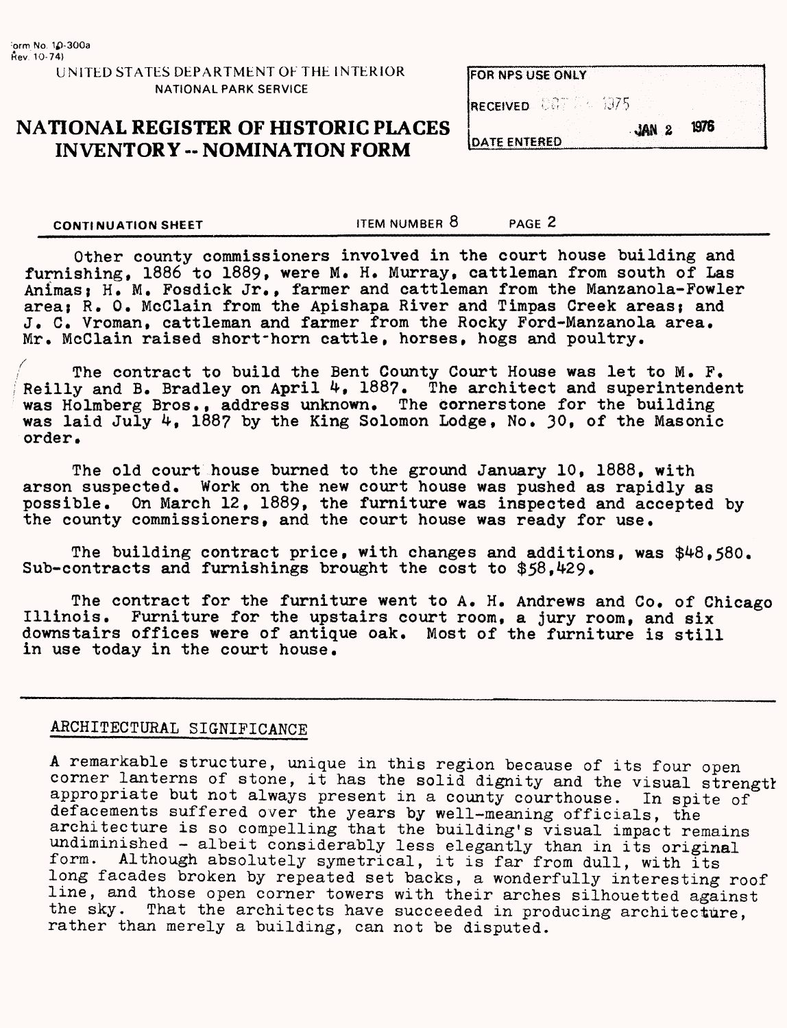#### **UNITED STATES DEPARTMENT OF THE INTERIOR NATIONAL PARK SERVICE**

# **NATIONAL REGISTER OF HISTORIC PLACES INVENTORY -- NOMINATION FORM** DATE ENTERED

| <b>IFOR NPS USE ONLY</b>     |  |  |
|------------------------------|--|--|
| <b>IRECEIVED</b> COT 24 1975 |  |  |
|                              |  |  |

**CONTINUATION SHEET** THEM NUMBER 8 PAGE 2

Other county commissioners involved in the court house building and furnishing, 1886 to 1889, were M. H. Murray, cattleman from south of Las Animas; H. M. Fosdick Jr., farmer and cattleman from the Manzanola-Fowler area; R. O. McClain from the Apishapa River and Timpas Creek areas; and J. C. Vroman, cattleman and farmer from the Rocky Ford-Manzanola area. Mr. McClain raised short'horn cattle, horses, hogs and poultry.

The contract to build the Bent County Court House was let to M. F. Reilly and B. Bradley on April 4, 1887. The architect and superintendent was Holmberg Bros., address unknown. The cornerstone for the building was laid July 4, 188? by the King Solomon Lodge, No. 30, of the Masonic order.

The old court house burned to the ground January 10, 1888, with arson suspected. Work on the new court house was pushed as rapidly as possible. On March 12, 1889, the furniture was inspected and accepted by the county commissioners, and the court house was ready for use.

The building contract price, with changes and additions, was \$48,580. Sub-contracts and furnishings brought the cost to  $$58,429$ .

The contract for the furniture went to A. H. Andrews and Co. of Chicago Illinois. Furniture for the upstairs court room, a jury room, and six downstairs offices were of antique oak. Most of the furniture is still in use today in the court house.

## ARCHITECTURAL SIGNIFICANCE

A remarkable structure, unique in this region because of its four open corner lanterns of stone, it has the solid dignity and the visual strength appropriate but not always present in a county courthouse. In spite of defacements suffered over the years by well-meaning officials, the architecture is so compelling that the building's visual impact remains undiminished - albeit considerably less elegantly than in its original form. Although absolutely symetrical, it is far from dull, with its long facades broken by repeated set backs, a wonderfully interesting roof line, and those open corner towers with their arches silhouetted against the sky. That the architects have succeeded in producing architecture, rather than merely a building, can not be disputed.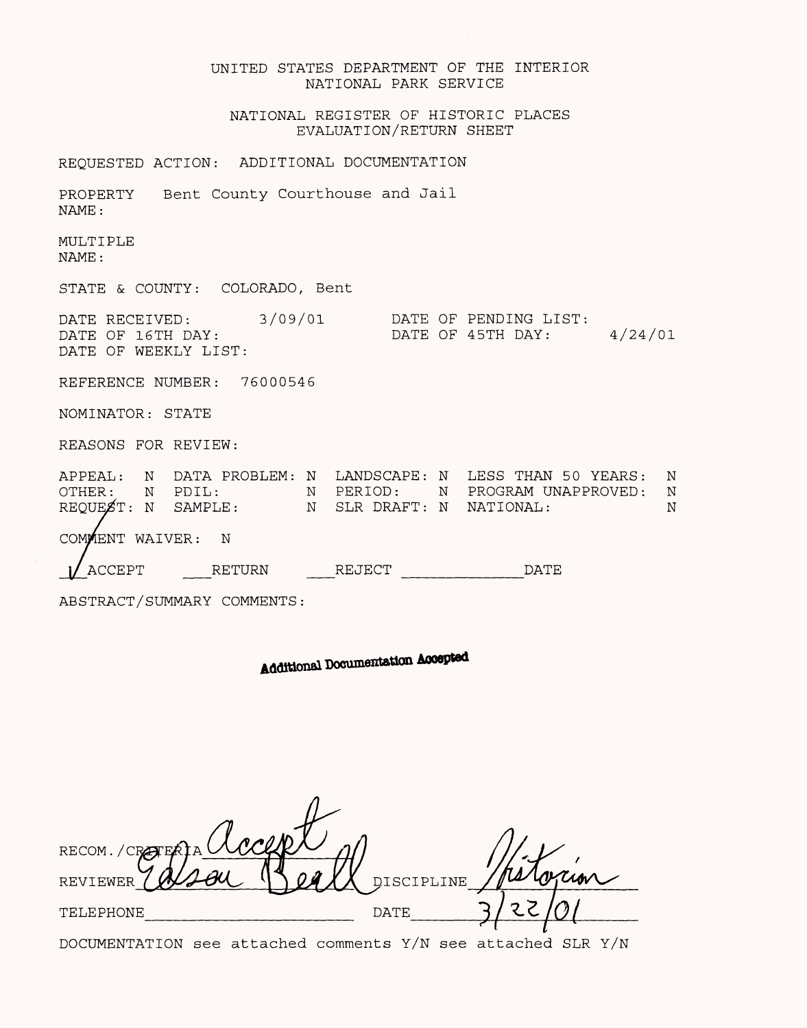| UNITED STATES DEPARTMENT OF THE INTERIOR<br>NATIONAL PARK SERVICE                                                                                                                                        |
|----------------------------------------------------------------------------------------------------------------------------------------------------------------------------------------------------------|
| NATIONAL REGISTER OF HISTORIC PLACES<br>EVALUATION/RETURN SHEET                                                                                                                                          |
| REQUESTED ACTION: ADDITIONAL DOCUMENTATION                                                                                                                                                               |
| PROPERTY Bent County Courthouse and Jail<br>NAME:                                                                                                                                                        |
| MULTIPLE<br>NAME:                                                                                                                                                                                        |
| STATE & COUNTY: COLORADO, Bent                                                                                                                                                                           |
| DATE RECEIVED: 3/09/01<br>DATE OF PENDING LIST:<br>4/24/01<br>DATE OF 45TH DAY:<br>DATE OF 16TH DAY:<br>DATE OF WEEKLY LIST:                                                                             |
| REFERENCE NUMBER: 76000546                                                                                                                                                                               |
| NOMINATOR: STATE                                                                                                                                                                                         |
| REASONS FOR REVIEW:                                                                                                                                                                                      |
| APPEAL: N DATA PROBLEM: N LANDSCAPE: N LESS THAN 50 YEARS:<br>N<br>OTHER: N PDIL: N PERIOD: N PROGRAMUREQUEST: N SAMPLE: N SLR DRAFT: N NATIONAL:<br>N PERIOD: N PROGRAM UNAPPROVED:<br>N<br>$\mathbf N$ |
| COMMENT WAIVER:<br>$_{\rm N}$                                                                                                                                                                            |
| <b>ACCEPT</b><br>RETURN<br>REJECT<br>DATE                                                                                                                                                                |
| ABSTRACT/SUMMARY COMMENTS:                                                                                                                                                                               |

Additional Documentation Accepted

| RECOM./CRAFE             |            |  |
|--------------------------|------------|--|
| REVIEWER                 | DISCIPLINE |  |
| <b>DATE</b><br>TELEPHONE |            |  |

DOCUMENTATION see attached comments Y/N see attached SLR Y/N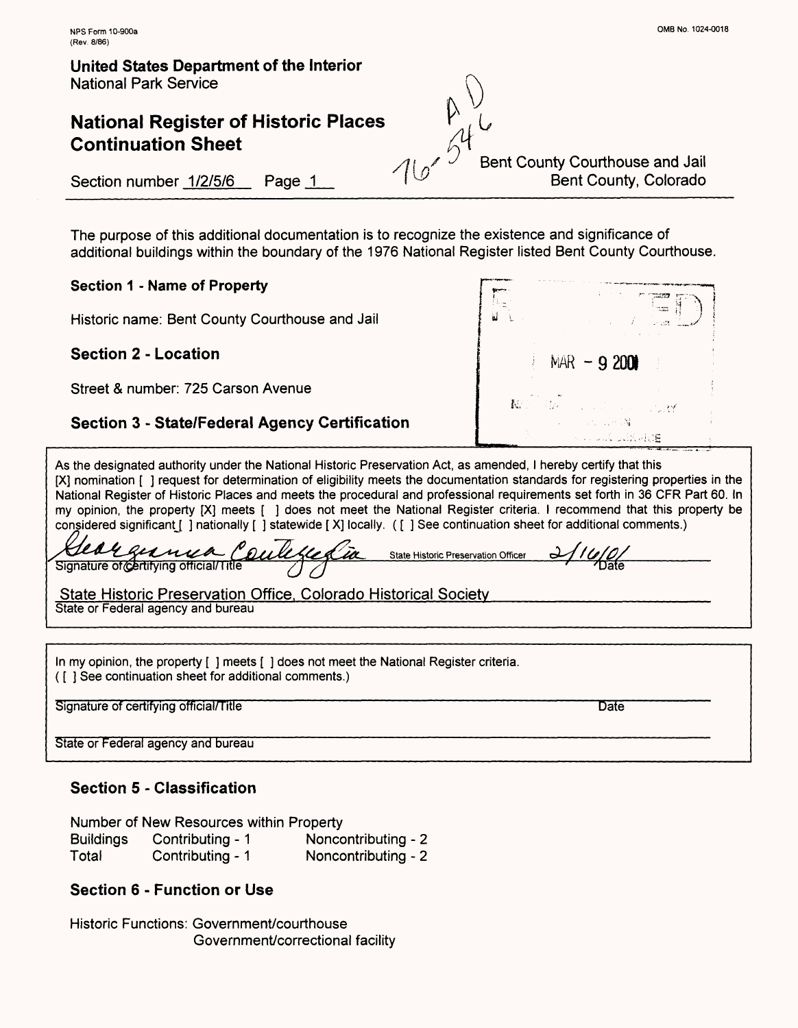# **National Register of Historic Places Continuation Sheet**

Bent County Courthouse and Jail Bent County, Colorado

Section number 1/2/5/6 Page 1

The purpose of this additional documentation is to recognize the existence and significance of additional buildings within the boundary of the 1976 National Register listed Bent County Courthouse.

**Section 1 - Name of Property**

Historic name: Bent County Courthouse and Jail

**Section 2 - Location**

Street & number: 725 Carson Avenue

## **Section 3 - State/Federal Agency Certification**

**Francis**  $NAR - 920$ will be held E

As the designated authority under the National Historic Preservation Act, as amended, I hereby certify that this [X] nomination [ ] request for determination of eligibility meets the documentation standards for registering properties in the National Register of Historic Places and meets the procedural and professional requirements set forth in 36 CFR Part 60. In my opinion, the property [X] meets [ ] does not meet the National Register criteria. I recommend that this property be considered significant [ ] nationally [ ] statewide [X] locally. ( [ ] See continuation sheet for additional comments.)

**^x^^^Tl^^^^^---** signature ot^ertirying omciai/1 me **^M^U^^^^LJJSt^** */] /)*——————————————————— State Historic Preservation Officer *<-^//(//0/\_\_\_\_\_\_\_\_\_ r——*^a{e

State Historic Preservation Office. Colorado Historical Society*\_\_\_\_\_\_\_\_\_\_\_\_\_\_\_\_\_\_\_* State or Federal agency and bureau

In my opinion, the property [ ] meets [ ] does not meet the National Register criteria. ([ ] See continuation sheet for additional comments.)

Signature of certifying official/Title **Date of the Contract of Certifying Contract of Certifying Official/Title** 

State or Federal agency and bureau

## **Section 5 - Classification**

Number of New Resources within Property

| <b>Buildings</b> | Contributing - 1 | Noncontributing - 2 |
|------------------|------------------|---------------------|
| Total            | Contributing - 1 | Noncontributing - 2 |

### **Section 6 - Function or Use**

Historic Functions: Government/courthouse Government/correctional facility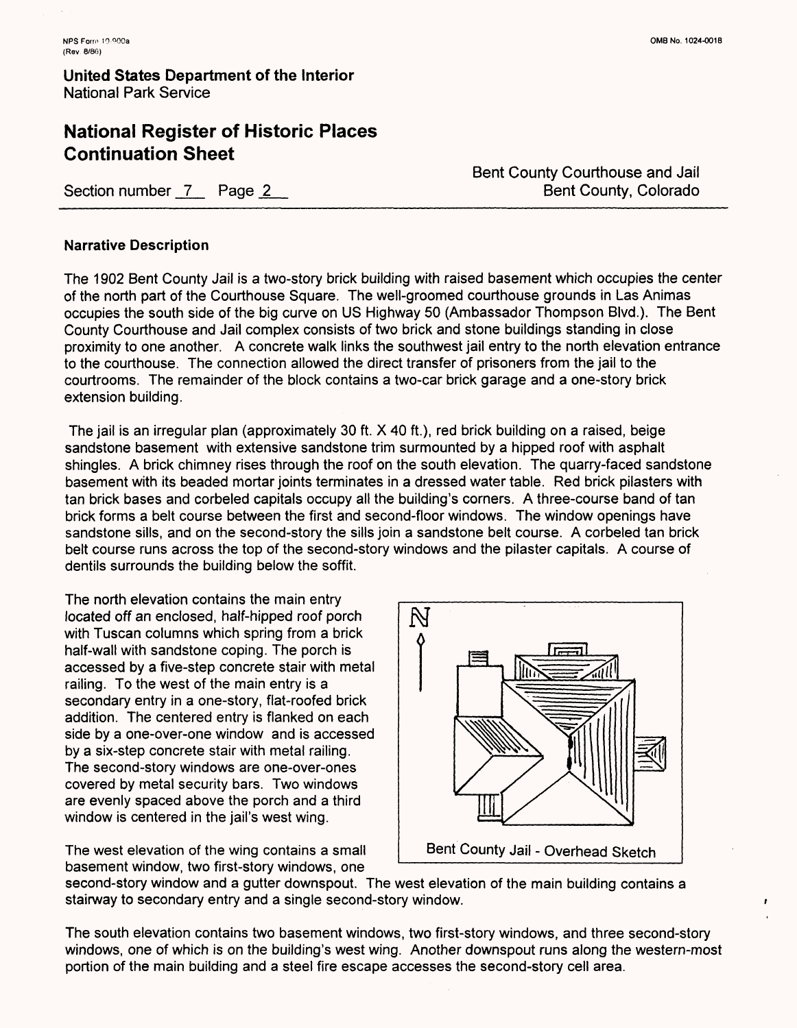## **National Register of Historic Places Continuation Sheet**

Section number 7 Page 2

Bent County Courthouse and Jail Bent County, Colorado

#### **Narrative Description**

The 1902 Bent County Jail is a two-story brick building with raised basement which occupies the center of the north part of the Courthouse Square. The well-groomed courthouse grounds in Las Animas occupies the south side of the big curve on US Highway 50 (Ambassador Thompson Blvd.). The Bent County Courthouse and Jail complex consists of two brick and stone buildings standing in close proximity to one another. A concrete walk links the southwest jail entry to the north elevation entrance to the courthouse. The connection allowed the direct transfer of prisoners from the jail to the courtrooms. The remainder of the block contains a two-car brick garage and a one-story brick extension building.

The jail is an irregular plan (approximately 30 ft. X 40 ft.), red brick building on a raised, beige sandstone basement with extensive sandstone trim surmounted by a hipped roof with asphalt shingles. A brick chimney rises through the roof on the south elevation. The quarry-faced sandstone basement with its beaded mortar joints terminates in a dressed water table. Red brick pilasters with tan brick bases and corbeled capitals occupy all the building's corners. A three-course band of tan brick forms a belt course between the first and second-floor windows. The window openings have sandstone sills, and on the second-story the sills join a sandstone belt course. A corbeled tan brick belt course runs across the top of the second-story windows and the pilaster capitals. A course of dentils surrounds the building below the soffit.

The north elevation contains the main entry located off an enclosed, half-hipped roof porch with Tuscan columns which spring from a brick half-wall with sandstone coping. The porch is accessed by a five-step concrete stair with metal railing. To the west of the main entry is a secondary entry in a one-story, flat-roofed brick addition. The centered entry is flanked on each side by a one-over-one window and is accessed by a six-step concrete stair with metal railing. The second-story windows are one-over-ones covered by metal security bars. Two windows are evenly spaced above the porch and a third window is centered in the jail's west wing.

The west elevation of the wing contains a small | Bent County Jail - Overhead Sketch basement window, two first-story windows, one



second-story window and a gutter downspout. The west elevation of the main building contains a stairway to secondary entry and a single second-story window.

The south elevation contains two basement windows, two first-story windows, and three second-story windows, one of which is on the building's west wing. Another downspout runs along the western-most portion of the main building and a steel fire escape accesses the second-story cell area.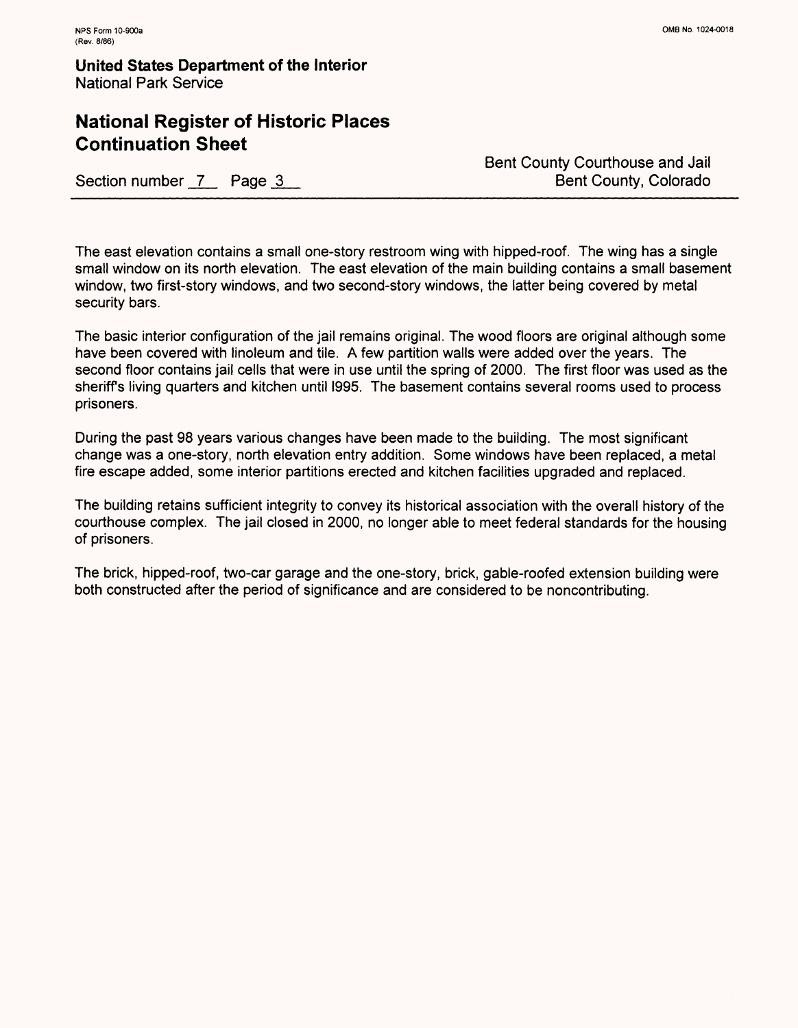# **National Register of Historic Places Continuation Sheet**

Section number 7 Page 3

Bent County Courthouse and Jail Bent County, Colorado

The east elevation contains a small one-story restroom wing with hipped-roof. The wing has a single small window on its north elevation. The east elevation of the main building contains a small basement window, two first-story windows, and two second-story windows, the latter being covered by metal security bars.

The basic interior configuration of the jail remains original. The wood floors are original although some have been covered with linoleum and tile. A few partition walls were added over the years. The second floor contains jail cells that were in use until the spring of 2000. The first floor was used as the sheriffs living quarters and kitchen until I995. The basement contains several rooms used to process prisoners.

During the past 98 years various changes have been made to the building. The most significant change was a one-story, north elevation entry addition. Some windows have been replaced, a metal fire escape added, some interior partitions erected and kitchen facilities upgraded and replaced.

The building retains sufficient integrity to convey its historical association with the overall history of the courthouse complex. The jail closed in 2000, no longer able to meet federal standards for the housing of prisoners.

The brick, hipped-roof, two-car garage and the one-story, brick, gable-roofed extension building were both constructed after the period of significance and are considered to be noncontributing.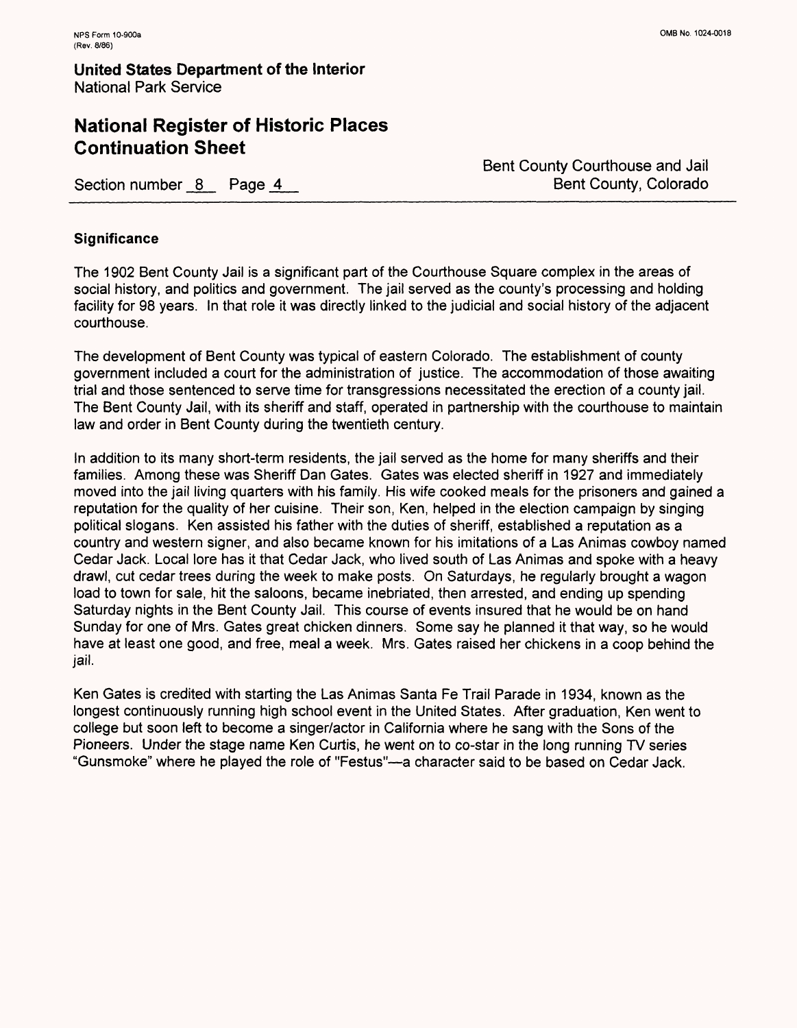# **National Register of Historic Places Continuation Sheet**

Section number 8 Page 4

Bent County Courthouse and Jail Bent County, Colorado

#### **Significance**

The 1902 Bent County Jail is a significant part of the Courthouse Square complex in the areas of social history, and politics and government. The jail served as the county's processing and holding facility for 98 years. In that role it was directly linked to the judicial and social history of the adjacent courthouse.

The development of Bent County was typical of eastern Colorado. The establishment of county government included a court for the administration of justice. The accommodation of those awaiting trial and those sentenced to serve time for transgressions necessitated the erection of a county jail. The Bent County Jail, with its sheriff and staff, operated in partnership with the courthouse to maintain law and order in Bent County during the twentieth century.

In addition to its many short-term residents, the jail served as the home for many sheriffs and their families. Among these was Sheriff Dan Gates. Gates was elected sheriff in 1927 and immediately moved into the jail living quarters with his family. His wife cooked meals for the prisoners and gained a reputation for the quality of her cuisine. Their son, Ken, helped in the election campaign by singing political slogans. Ken assisted his father with the duties of sheriff, established a reputation as a country and western signer, and also became known for his imitations of a Las Animas cowboy named Cedar Jack. Local lore has it that Cedar Jack, who lived south of Las Animas and spoke with a heavy drawl, cut cedar trees during the week to make posts. On Saturdays, he regularly brought a wagon load to town for sale, hit the saloons, became inebriated, then arrested, and ending up spending Saturday nights in the Bent County Jail. This course of events insured that he would be on hand Sunday for one of Mrs. Gates great chicken dinners. Some say he planned it that way, so he would have at least one good, and free, meal a week. Mrs. Gates raised her chickens in a coop behind the jail.

Ken Gates is credited with starting the Las Animas Santa Fe Trail Parade in 1934, known as the longest continuously running high school event in the United States. After graduation, Ken went to college but soon left to become a singer/actor in California where he sang with the Sons of the Pioneers. Under the stage name Ken Curtis, he went on to co-star in the long running TV series "Gunsmoke" where he played the role of "Festus"—a character said to be based on Cedar Jack.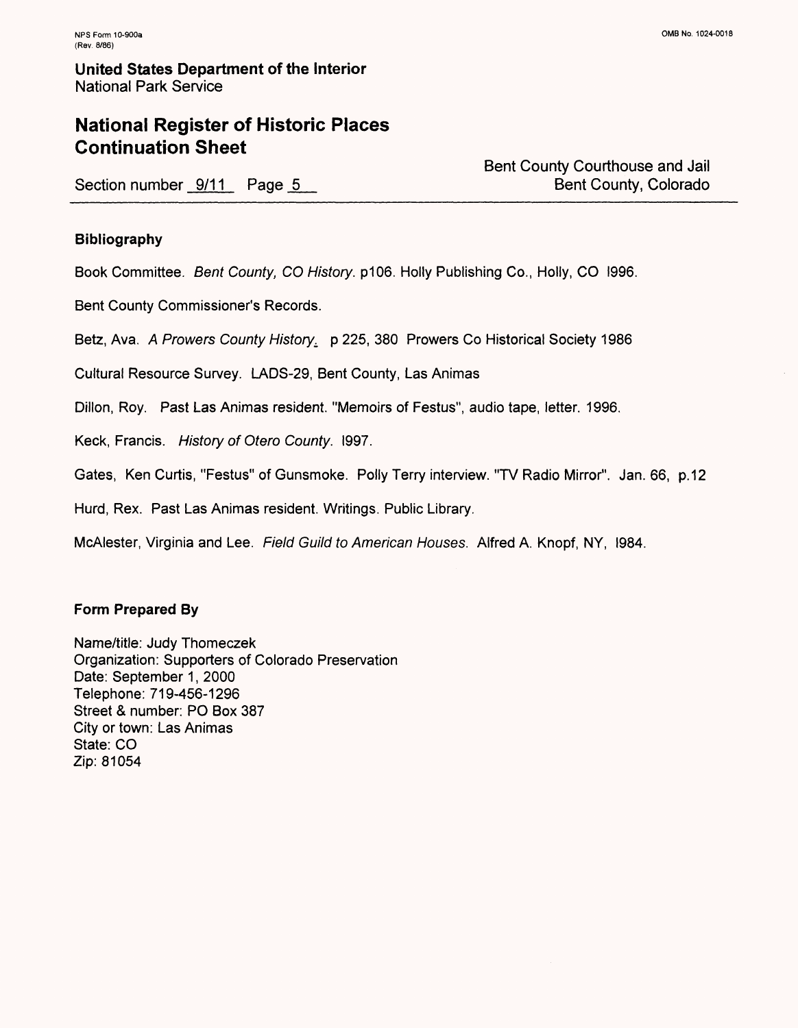# **National Register of Historic Places Continuation Sheet**

Section number 9/11 Page 5

Bent County Courthouse and Jail Bent County, Colorado

#### **Bibliography**

Book Committee. *Bent County, CO History.* p106. Holly Publishing Co., Holly, CO I996.

Bent County Commissioner's Records.

Betz, Ava. *A Prowers County History^* p 225, 380 Prowers Co Historical Society 1986

Cultural Resource Survey. LADS-29, Bent County, Las Animas

Dillon, Roy. Past Las Animas resident. "Memoirs of Festus", audio tape, letter. 1996.

Keck, Francis. *History of Otero County.* I997.

Gates, Ken Curtis, "Festus" of Gunsmoke. Polly Terry interview. "TV Radio Mirror". Jan. 66, p. 12

Hurd, Rex. Past Las Animas resident. Writings. Public Library.

McAlester, Virginia and Lee. *Field Guild to American Houses.* Alfred A. Knopf, NY, I984.

#### **Form Prepared By**

Name/title: Judy Thomeczek Organization: Supporters of Colorado Preservation Date: September 1, 2000 Telephone: 719-456-1296 Street & number: PO Box 387 City or town: Las Animas State: CO Zip: 81054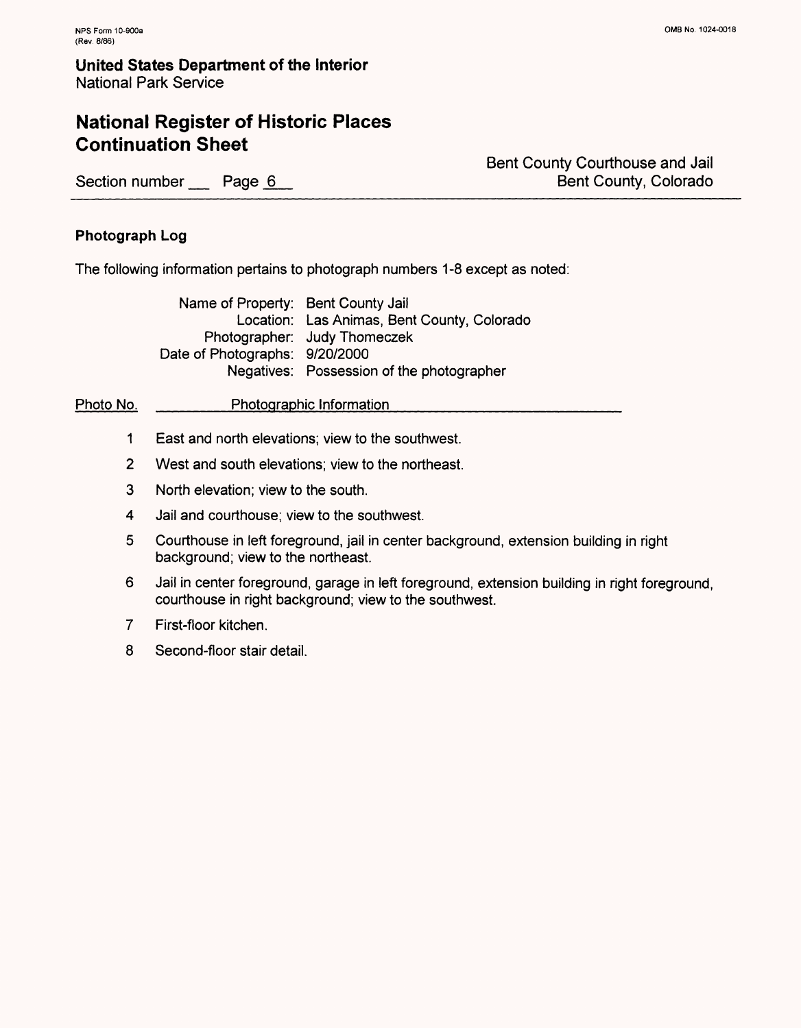# **National Register of Historic Places Continuation Sheet**

Section number Page 6

Bent County Courthouse and Jail Bent County, Colorado

#### **Photograph Log**

The following information pertains to photograph numbers 1-8 except as noted:

Name of Property: Bent County Jail Location: Las Animas, Bent County, Colorado Photographer: Judy Thomeczek Date of Photographs: 9/20/2000 Negatives: Possession of the photographer

Photo No. Photographic Information

- 1 East and north elevations; view to the southwest.
- 2 West and south elevations; view to the northeast.
- 3 North elevation; view to the south.
- 4 Jail and courthouse; view to the southwest.
- 5 Courthouse in left foreground, jail in center background, extension building in right background; view to the northeast.
- 6 Jail in center foreground, garage in left foreground, extension building in right foreground, courthouse in right background; view to the southwest.
- $\overline{7}$ First-floor kitchen.
- 8 Second-floor stair detail.